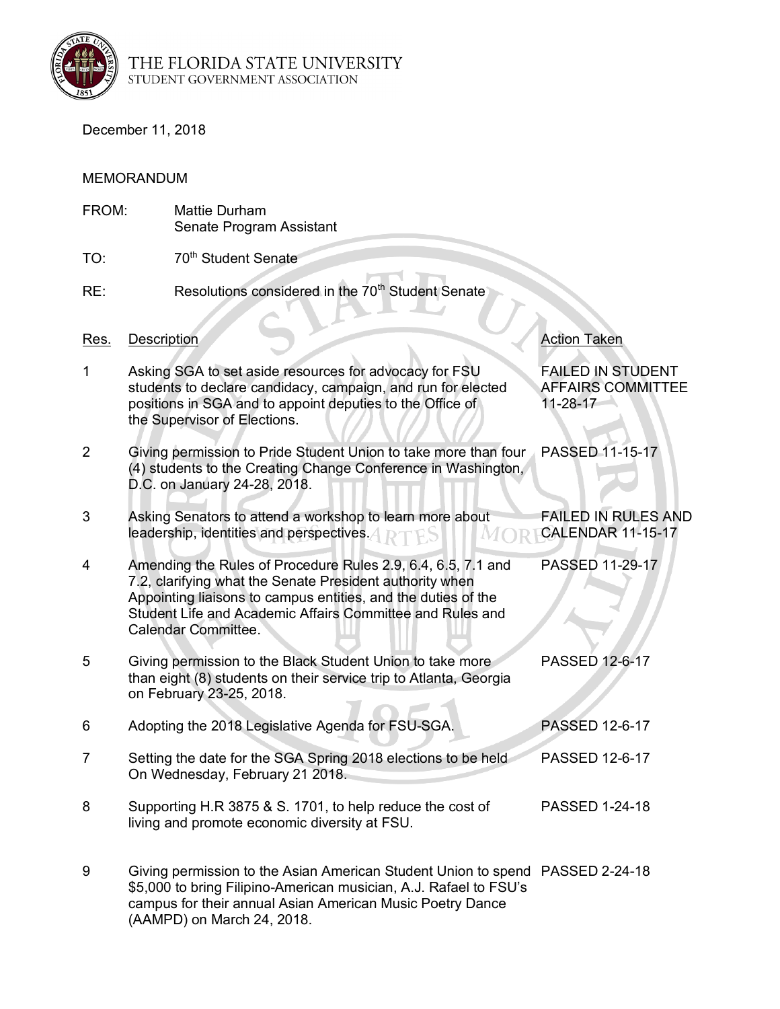

THE FLORIDA STATE UNIVERSITY<br>student government association

(AAMPD) on March 24, 2018.

December 11, 2018

## MEMORANDUM

| FROM:          |             | <b>Mattie Durham</b><br>Senate Program Assistant                                                                                                                                                                                                                              |                                                                  |
|----------------|-------------|-------------------------------------------------------------------------------------------------------------------------------------------------------------------------------------------------------------------------------------------------------------------------------|------------------------------------------------------------------|
| TO:            |             | 70 <sup>th</sup> Student Senate                                                                                                                                                                                                                                               |                                                                  |
| RE:            |             | Resolutions considered in the 70 <sup>th</sup> Student Senate                                                                                                                                                                                                                 |                                                                  |
| <u>Res.</u>    | Description |                                                                                                                                                                                                                                                                               | <b>Action Taken</b>                                              |
| 1              |             | Asking SGA to set aside resources for advocacy for FSU<br>students to declare candidacy, campaign, and run for elected<br>positions in SGA and to appoint deputies to the Office of<br>the Supervisor of Elections.                                                           | <b>FAILED IN STUDENT</b><br><b>AFFAIRS COMMITTEE</b><br>11-28-17 |
| $\overline{2}$ |             | Giving permission to Pride Student Union to take more than four<br>(4) students to the Creating Change Conference in Washington,<br>D.C. on January 24-28, 2018.                                                                                                              | PASSED 11-15-17                                                  |
| 3              |             | Asking Senators to attend a workshop to learn more about<br>leadership, identities and perspectives. 4 <b>DETES</b>                                                                                                                                                           | <b>FAILED IN RULES AND</b><br><b>CALENDAR 11-15-17</b>           |
| 4              |             | Amending the Rules of Procedure Rules 2.9, 6.4, 6.5, 7.1 and<br>7.2, clarifying what the Senate President authority when<br>Appointing liaisons to campus entities, and the duties of the<br>Student Life and Academic Affairs Committee and Rules and<br>Calendar Committee. | PASSED 11-29-17                                                  |
| 5              |             | Giving permission to the Black Student Union to take more<br>than eight (8) students on their service trip to Atlanta, Georgia<br>on February 23-25, 2018.                                                                                                                    | PASSED 12-6-17                                                   |
| 6              |             | Adopting the 2018 Legislative Agenda for FSU-SGA.                                                                                                                                                                                                                             | <b>PASSED 12-6-17</b>                                            |
| 7              |             | Setting the date for the SGA Spring 2018 elections to be held<br>On Wednesday, February 21 2018.                                                                                                                                                                              | PASSED 12-6-17                                                   |
| 8              |             | Supporting H.R 3875 & S. 1701, to help reduce the cost of<br>living and promote economic diversity at FSU.                                                                                                                                                                    | <b>PASSED 1-24-18</b>                                            |
| 9              |             | Giving permission to the Asian American Student Union to spend PASSED 2-24-18<br>\$5,000 to bring Filipino-American musician, A.J. Rafael to FSU's<br>campus for their annual Asian American Music Poetry Dance                                                               |                                                                  |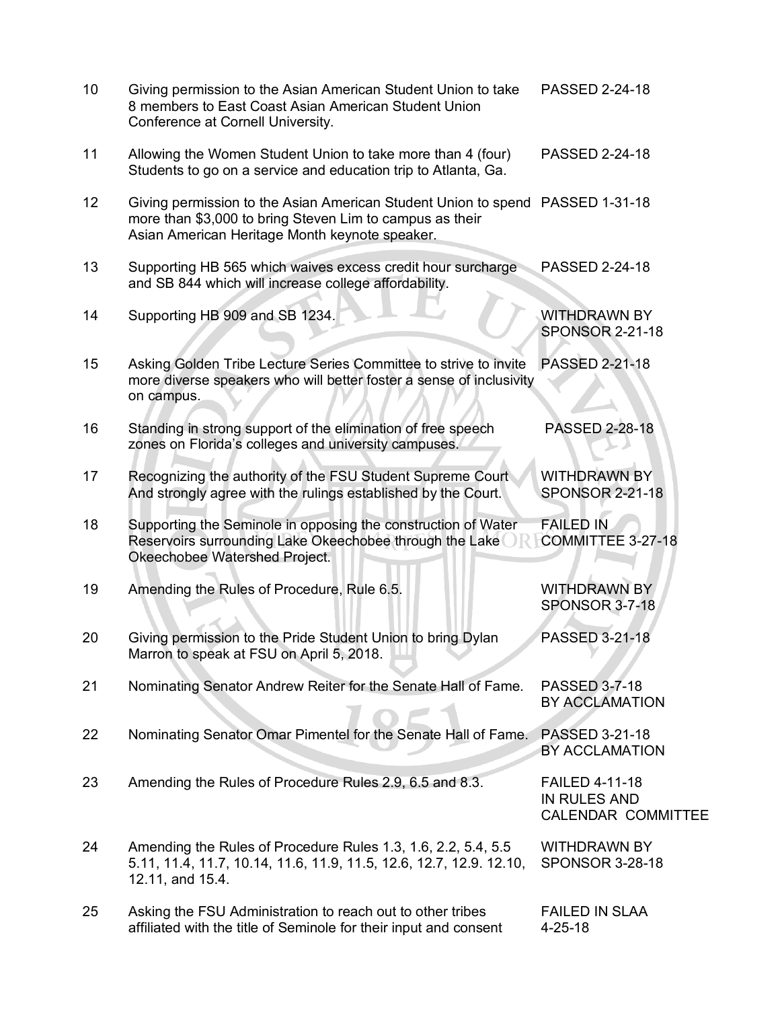| 10 | Giving permission to the Asian American Student Union to take<br>8 members to East Coast Asian American Student Union<br>Conference at Cornell University.                                  | PASSED 2-24-18                                                            |
|----|---------------------------------------------------------------------------------------------------------------------------------------------------------------------------------------------|---------------------------------------------------------------------------|
| 11 | Allowing the Women Student Union to take more than 4 (four)<br>Students to go on a service and education trip to Atlanta, Ga.                                                               | PASSED 2-24-18                                                            |
| 12 | Giving permission to the Asian American Student Union to spend PASSED 1-31-18<br>more than \$3,000 to bring Steven Lim to campus as their<br>Asian American Heritage Month keynote speaker. |                                                                           |
| 13 | Supporting HB 565 which waives excess credit hour surcharge<br>and SB 844 which will increase college affordability.                                                                        | PASSED 2-24-18                                                            |
| 14 | Supporting HB 909 and SB 1234.                                                                                                                                                              | <b>WITHDRAWN BY</b><br><b>SPONSOR 2-21-18</b>                             |
| 15 | Asking Golden Tribe Lecture Series Committee to strive to invite<br>more diverse speakers who will better foster a sense of inclusivity<br>on campus.                                       | <b>PASSED 2-21-18</b>                                                     |
| 16 | Standing in strong support of the elimination of free speech<br>zones on Florida's colleges and university campuses.                                                                        | <b>PASSED 2-28-18</b>                                                     |
| 17 | Recognizing the authority of the FSU Student Supreme Court<br>And strongly agree with the rulings established by the Court.                                                                 | <b>WITHDRAWN BY</b><br><b>SPONSOR 2-21-18</b>                             |
| 18 | Supporting the Seminole in opposing the construction of Water<br>Reservoirs surrounding Lake Okeechobee through the Lake<br>Okeechobee Watershed Project.                                   | <b>FAILED IN</b><br>COMMITTEE 3-27-18                                     |
| 19 | Amending the Rules of Procedure, Rule 6.5.                                                                                                                                                  | <b>WITHDRAWN BY</b><br><b>SPONSOR 3-7-18</b>                              |
| 20 | Giving permission to the Pride Student Union to bring Dylan<br>Marron to speak at FSU on April 5, 2018.                                                                                     | PASSED 3-21-18                                                            |
| 21 | Nominating Senator Andrew Reiter for the Senate Hall of Fame.                                                                                                                               | PASSED 3-7-18<br>BY ACCLAMATION                                           |
| 22 | Nominating Senator Omar Pimentel for the Senate Hall of Fame.                                                                                                                               | PASSED 3-21-18<br>BY ACCLAMATION                                          |
| 23 | Amending the Rules of Procedure Rules 2.9, 6.5 and 8.3.                                                                                                                                     | <b>FAILED 4-11-18</b><br><b>IN RULES AND</b><br><b>CALENDAR COMMITTEE</b> |
| 24 | Amending the Rules of Procedure Rules 1.3, 1.6, 2.2, 5.4, 5.5<br>5.11, 11.4, 11.7, 10.14, 11.6, 11.9, 11.5, 12.6, 12.7, 12.9. 12.10,<br>12.11, and 15.4.                                    | <b>WITHDRAWN BY</b><br><b>SPONSOR 3-28-18</b>                             |
| 25 | Asking the FSU Administration to reach out to other tribes<br>affiliated with the title of Seminole for their input and consent                                                             | <b>FAILED IN SLAA</b><br>$4 - 25 - 18$                                    |